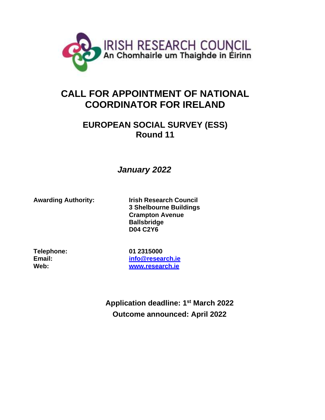

# **CALL FOR APPOINTMENT OF NATIONAL COORDINATOR FOR IRELAND**

# **EUROPEAN SOCIAL SURVEY (ESS) Round 11**

# *January 2022*

**Awarding Authority: Irish Research Council 3 Shelbourne Buildings Crampton Avenue Ballsbridge D04 C2Y6**

**Telephone: 01 2315000**

**Email: [info@research.ie](mailto:info@research.ie) Web: [www.research.ie](http://www.research.ie/)**

> **Application deadline: 1 st March 2022 Outcome announced: April 2022**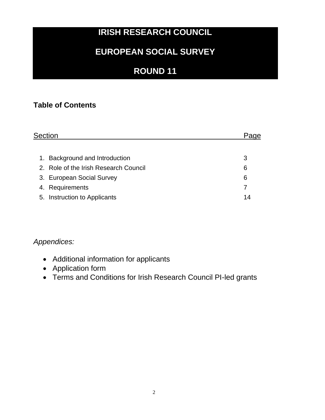# **IRISH RESEARCH COUNCIL**

# **EUROPEAN SOCIAL SURVEY**

# **ROUND 11**

## **Table of Contents**

| <b>Section</b> |                                       |    |  |
|----------------|---------------------------------------|----|--|
|                |                                       |    |  |
| 1.             | Background and Introduction           | 3  |  |
|                | 2. Role of the Irish Research Council | 6  |  |
|                | 3. European Social Survey             | 6  |  |
|                | 4. Requirements                       |    |  |
|                | 5. Instruction to Applicants          | 14 |  |

## *Appendices:*

- Additional information for applicants
- Application form
- Terms and Conditions for Irish Research Council PI-led grants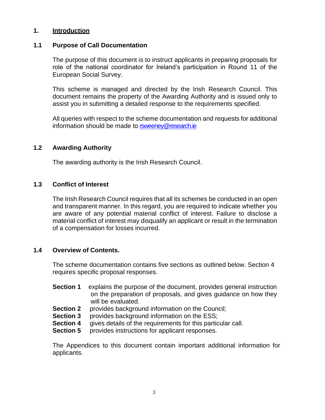## **1. Introduction**

#### **1.1 Purpose of Call Documentation**

The purpose of this document is to instruct applicants in preparing proposals for role of the national coordinator for Ireland's participation in Round 11 of the European Social Survey.

This scheme is managed and directed by the Irish Research Council. This document remains the property of the Awarding Authority and is issued only to assist you in submitting a detailed response to the requirements specified.

All queries with respect to the scheme documentation and requests for additional information should be made to [rsweeney@research.ie](mailto:rsweeney@research.ie)

#### **1.2 Awarding Authority**

The awarding authority is the Irish Research Council.

## **1.3 Conflict of Interest**

The Irish Research Council requires that all its schemes be conducted in an open and transparent manner. In this regard, you are required to indicate whether you are aware of any potential material conflict of interest. Failure to disclose a material conflict of interest may disqualify an applicant or result in the termination of a compensation for losses incurred.

#### **1.4 Overview of Contents.**

The scheme documentation contains five sections as outlined below. Section 4 requires specific proposal responses.

- **Section 1** explains the purpose of the document, provides general instruction on the preparation of proposals, and gives guidance on how they will be evaluated.
- **Section 2** provides background information on the Council;
- **Section 3** provides background information on the ESS;
- **Section 4** gives details of the requirements for this particular call.
- **Section 5 provides instructions for applicant responses.**

The Appendices to this document contain important additional information for applicants.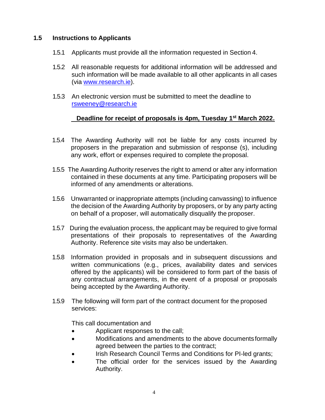## **1.5 Instructions to Applicants**

- 1.5.1 Applicants must provide all the information requested in Section 4.
- 1.5.2 All reasonable requests for additional information will be addressed and such information will be made available to all other applicants in all cases (via [www.research.ie\)](http://www.research.ie/).
- 1.5.3 An electronic version must be submitted to meet the deadline to rsweeney@research.ie

## **Deadline for receipt of proposals is 4pm, Tuesday 1 st March 2022.**

- 1.5.4 The Awarding Authority will not be liable for any costs incurred by proposers in the preparation and submission of response (s), including any work, effort or expenses required to complete the proposal.
- 1.5.5 The Awarding Authority reserves the right to amend or alter any information contained in these documents at any time. Participating proposers will be informed of any amendments or alterations.
- 1.5.6 Unwarranted or inappropriate attempts (including canvassing) to influence the decision of the Awarding Authority by proposers, or by any party acting on behalf of a proposer, will automatically disqualify the proposer.
- 1.5.7 During the evaluation process, the applicant may be required to give formal presentations of their proposals to representatives of the Awarding Authority. Reference site visits may also be undertaken.
- 1.5.8 Information provided in proposals and in subsequent discussions and written communications (e.g., prices, availability dates and services offered by the applicants) will be considered to form part of the basis of any contractual arrangements, in the event of a proposal or proposals being accepted by the Awarding Authority.
- 1.5.9 The following will form part of the contract document for the proposed services:

This call documentation and

- Applicant responses to the call;
- Modifications and amendments to the above documents formally agreed between the parties to the contract;
- Irish Research Council Terms and Conditions for PI-led grants;
- The official order for the services issued by the Awarding Authority.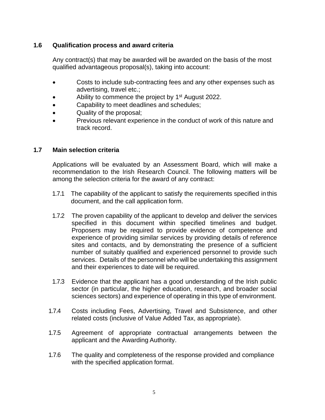## **1.6 Qualification process and award criteria**

Any contract(s) that may be awarded will be awarded on the basis of the most qualified advantageous proposal(s), taking into account:

- Costs to include sub-contracting fees and any other expenses such as advertising, travel etc.;
- Ability to commence the project by 1<sup>st</sup> August 2022.
- Capability to meet deadlines and schedules;
- Quality of the proposal;
- Previous relevant experience in the conduct of work of this nature and track record.

## **1.7 Main selection criteria**

Applications will be evaluated by an Assessment Board, which will make a recommendation to the Irish Research Council. The following matters will be among the selection criteria for the award of any contract:

- 1.7.1 The capability of the applicant to satisfy the requirements specified in this document, and the call application form.
- 1.7.2 The proven capability of the applicant to develop and deliver the services specified in this document within specified timelines and budget. Proposers may be required to provide evidence of competence and experience of providing similar services by providing details of reference sites and contacts, and by demonstrating the presence of a sufficient number of suitably qualified and experienced personnel to provide such services. Details of the personnel who will be undertaking this assignment and their experiences to date will be required.
- 1.7.3 Evidence that the applicant has a good understanding of the Irish public sector (in particular, the higher education, research, and broader social sciences sectors) and experience of operating in this type of environment.
- 1.7.4 Costs including Fees, Advertising, Travel and Subsistence, and other related costs (inclusive of Value Added Tax, as appropriate).
- 1.7.5 Agreement of appropriate contractual arrangements between the applicant and the Awarding Authority.
- 1.7.6 The quality and completeness of the response provided and compliance with the specified application format.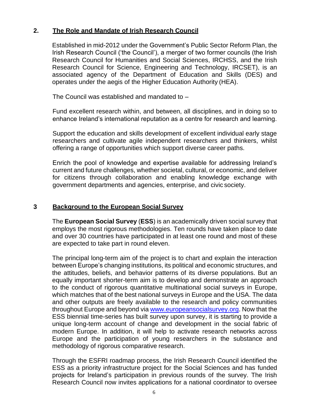## **2. The Role and Mandate of Irish Research Council**

Established in mid-2012 under the Government's Public Sector Reform Plan, the Irish Research Council ('the Council'), a merger of two former councils (the Irish Research Council for Humanities and Social Sciences, IRCHSS, and the Irish Research Council for Science, Engineering and Technology, IRCSET), is an associated agency of the Department of Education and Skills (DES) and operates under the aegis of the Higher Education Authority (HEA).

The Council was established and mandated to –

Fund excellent research within, and between, all disciplines, and in doing so to enhance Ireland's international reputation as a centre for research and learning.

Support the education and skills development of excellent individual early stage researchers and cultivate agile independent researchers and thinkers, whilst offering a range of opportunities which support diverse career paths.

Enrich the pool of knowledge and expertise available for addressing Ireland's current and future challenges, whether societal, cultural, or economic, and deliver for citizens through collaboration and enabling knowledge exchange with government departments and agencies, enterprise, and civic society.

## **3 Background to the European Social Survey**

The **European Social Survey** (**ESS**) is an academically driven social survey that employs the most rigorous methodologies. Ten rounds have taken place to date and over 30 countries have participated in at least one round and most of these are expected to take part in round eleven.

The principal long-term aim of the project is to chart and explain the interaction between Europe's changing institutions, its political and economic structures, and the attitudes, beliefs, and behavior patterns of its diverse populations. But an equally important shorter-term aim is to develop and demonstrate an approach to the conduct of rigorous quantitative multinational social surveys in Europe, which matches that of the best national surveys in Europe and the USA. The data and other outputs are freely available to the research and policy communities throughout Europe and beyond via [www.europeansocialsurvey.org.](http://www.europeansocialsurvey.org/) Now that the ESS biennial time-series has built survey upon survey, it is starting to provide a unique long-term account of change and development in the social fabric of modern Europe. In addition, it will help to activate research networks across Europe and the participation of young researchers in the substance and methodology of rigorous comparative research.

Through the ESFRI roadmap process, the Irish Research Council identified the ESS as a priority infrastructure project for the Social Sciences and has funded projects for Ireland's participation in previous rounds of the survey. The Irish Research Council now invites applications for a national coordinator to oversee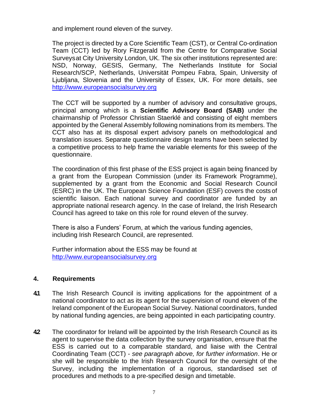and implement round eleven of the survey.

The project is directed by a Core Scientific Team (CST), or Central Co-ordination Team (CCT) led by Rory Fitzgerald from the Centre for Comparative Social Surveysat City University London, UK. The six other institutions represented are: NSD, Norway, GESIS, Germany, The Netherlands Institute for Social Research/SCP, Netherlands, Universität Pompeu Fabra, Spain, University of Ljubljana, Slovenia and the University of Essex, UK. For more details, see [http://www.europeansocialsurvey.org](http://www.europeansocialsurvey.org/)

The CCT will be supported by a number of advisory and consultative groups, principal among which is a **Scientific Advisory Board (SAB)** under the chairmanship of Professor Christian Staerklé and consisting of eight members appointed by the General Assembly following nominations from its members. The CCT also has at its disposal expert advisory panels on methodological and translation issues. Separate questionnaire design teams have been selected by a competitive process to help frame the variable elements for this sweep of the questionnaire.

The coordination of this first phase of the ESS project is again being financed by a grant from the European Commission (under its Framework Programme), supplemented by a grant from the Economic and Social Research Council (ESRC) in the UK. The European Science Foundation (ESF) covers the costs of scientific liaison. Each national survey and coordinator are funded by an appropriate national research agency. In the case of Ireland, the Irish Research Council has agreed to take on this role for round eleven of the survey.

There is also a Funders' Forum, at which the various funding agencies, including Irish Research Council, are represented.

Further information about the ESS may be found at [http://www.europeansocialsurvey.org](http://www.europeansocialsurvey.org/)

## **4. Requirements**

- **4.1** The Irish Research Council is inviting applications for the appointment of a national coordinator to act as its agent for the supervision of round eleven of the Ireland component of the European Social Survey. National coordinators, funded by national funding agencies, are being appointed in each participating country.
- **4.2** The coordinator for Ireland will be appointed by the Irish Research Council as its agent to supervise the data collection by the survey organisation, ensure that the ESS is carried out to a comparable standard, and liaise with the Central Coordinating Team (CCT) - *see paragraph above, for further information*. He or she will be responsible to the Irish Research Council for the oversight of the Survey, including the implementation of a rigorous, standardised set of procedures and methods to a pre-specified design and timetable.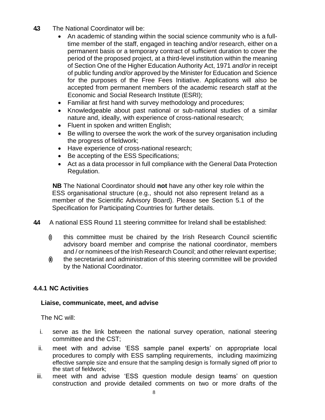- **4.3** The National Coordinator will be:
	- An academic of standing within the social science community who is a fulltime member of the staff, engaged in teaching and/or research, either on a permanent basis or a temporary contract of sufficient duration to cover the period of the proposed project, at a third-level institution within the meaning of Section One of the Higher Education Authority Act, 1971 *and/or* in receipt of public funding *and/or* approved by the Minister for Education and Science for the purposes of the Free Fees Initiative. Applications will also be accepted from permanent members of the academic research staff at the Economic and Social Research Institute (ESRI);
	- Familiar at first hand with survey methodology and procedures;
	- Knowledgeable about past national or sub-national studies of a similar nature and, ideally, with experience of cross-national research;
	- Fluent in spoken and written English;
	- Be willing to oversee the work the work of the survey organisation including the progress of fieldwork;
	- Have experience of cross-national research;
	- Be accepting of the ESS Specifications;
	- Act as a data processor in full compliance with the General Data Protection Regulation.

**NB** The National Coordinator should **not** have any other key role within the ESS organisational structure (e.g., should not also represent Ireland as a member of the Scientific Advisory Board). Please see Section 5.1 of the Specification for Participating Countries for further details.

- **4.4** A national ESS Round 11 steering committee for Ireland shall be established:
	- (i) this committee must be chaired by the Irish Research Council scientific advisory board member and comprise the national coordinator, members and / or nominees of the Irish Research Council; and other relevant expertise;
	- $\hat{I}$  the secretariat and administration of this steering committee will be provided by the National Coordinator.

## **4.4.1 NC Activities**

## **Liaise, communicate, meet, and advise**

The NC will:

- i. serve as the link between the national survey operation, national steering committee and the CST;
- ii. meet with and advise 'ESS sample panel experts' on appropriate local procedures to comply with ESS sampling requirements, including maximizing effective sample size and ensure that the sampling design is formally signed off prior to the start of fieldwork;
- iii. meet with and advise 'ESS question module design teams' on question construction and provide detailed comments on two or more drafts of the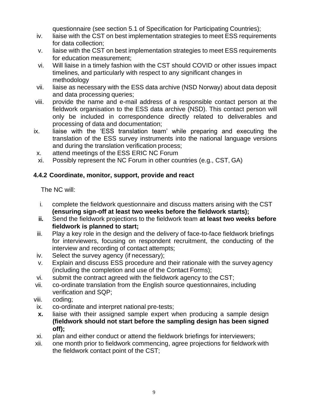questionnaire (see section 5.1 of Specification for Participating Countries);

- iv. liaise with the CST on best implementation strategies to meet ESS requirements for data collection;
- v. liaise with the CST on best implementation strategies to meet ESS requirements for education measurement;
- vi. Will liaise in a timely fashion with the CST should COVID or other issues impact timelines, and particularly with respect to any significant changes in methodology
- vii. liaise as necessary with the ESS data archive (NSD Norway) about data deposit and data processing queries;
- viii. provide the name and e-mail address of a responsible contact person at the fieldwork organisation to the ESS data archive (NSD). This contact person will only be included in correspondence directly related to deliverables and processing of data and documentation;
- ix. liaise with the 'ESS translation team' while preparing and executing the translation of the ESS survey instruments into the national language versions and during the translation verification process;
- x. attend meetings of the ESS ERIC NC Forum
- xi. Possibly represent the NC Forum in other countries (e.g., CST, GA)

## **4.4.2 Coordinate, monitor, support, provide and react**

The NC will:

- i. complete the fieldwork questionnaire and discuss matters arising with the CST **(ensuring sign-off at least two weeks before the fieldwork starts);**
- **ii.** Send the fieldwork projections to the fieldwork team **at least two weeks before fieldwork is planned to start;**
- iii. Play a key role in the design and the delivery of face-to-face fieldwork briefings for interviewers, focusing on respondent recruitment, the conducting of the interview and recording of contact attempts;
- iv. Select the survey agency (if necessary);
- v. Explain and discuss ESS procedure and their rationale with the survey agency (including the completion and use of the Contact Forms);
- vi. submit the contract agreed with the fieldwork agency to the CST;
- vii. co-ordinate translation from the English source questionnaires, including verification and SQP;
- viii. coding;
- ix. co-ordinate and interpret national pre-tests;
- **x.** liaise with their assigned sample expert when producing a sample design **(fieldwork should not start before the sampling design has been signed off);**
- xi. plan and either conduct or attend the fieldwork briefings for interviewers;
- xii. one month prior to fieldwork commencing, agree projections for fieldwork with the fieldwork contact point of the CST;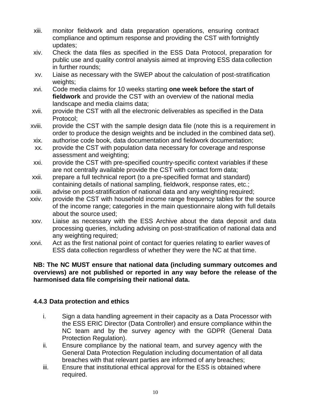- xiii. monitor fieldwork and data preparation operations, ensuring contract compliance and optimum response and providing the CST with fortnightly updates;
- xiv. Check the data files as specified in the ESS Data Protocol, preparation for public use and quality control analysis aimed at improving ESS data collection in further rounds;
- xv. Liaise as necessary with the SWEP about the calculation of post-stratification weights;
- xvi. Code media claims for 10 weeks starting **one week before the start of fieldwork** and provide the CST with an overview of the national media landscape and media claims data;
- xvii. provide the CST with all the electronic deliverables as specified in the Data Protocol;
- xviii. provide the CST with the sample design data file (note this is a requirement in order to produce the design weights and be included in the combined data set).
- xix. authorise code book, data documentation and fieldwork documentation;
- xx. provide the CST with population data necessary for coverage and response assessment and weighting;
- xxi. provide the CST with pre-specified country-specific context variables if these are not centrally available provide the CST with contact form data;
- xxii. prepare a full technical report (to a pre-specified format and standard) containing details of national sampling, fieldwork, response rates, etc.;
- xxiii. advise on post-stratification of national data and any weighting required;
- xxiv. provide the CST with household income range frequency tables for the source of the income range; categories in the main questionnaire along with full details about the source used;
- xxv. Liaise as necessary with the ESS Archive about the data deposit and data processing queries, including advising on post-stratification of national data and any weighting required;
- xxvi. Act as the first national point of contact for queries relating to earlier waves of ESS data collection regardless of whether they were the NC at that time.

## **NB: The NC MUST ensure that national data (including summary outcomes and overviews) are not published or reported in any way before the release of the harmonised data file comprising their national data.**

## **4.4.3 Data protection and ethics**

- i. Sign a data handling agreement in their capacity as a Data Processor with the ESS ERIC Director (Data Controller) and ensure compliance within the NC team and by the survey agency with the GDPR (General Data Protection Regulation).
- ii. Ensure compliance by the national team, and survey agency with the General Data Protection Regulation including documentation of all data breaches with that relevant parties are informed of any breaches;
- iii. Ensure that institutional ethical approval for the ESS is obtained where required.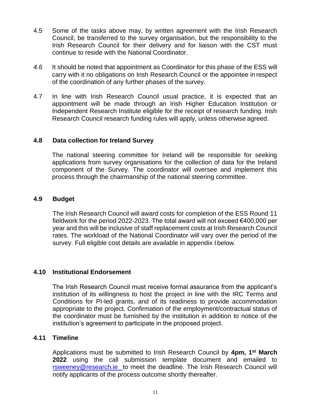- 4.5 Some of the tasks above may, by written agreement with the Irish Research Council, be transferred to the survey organisation, but the responsibility to the Irish Research Council for their delivery and for liaison with the CST must continue to reside with the National Coordinator.
- *4.6* It should be noted that appointment as Coordinator for this phase of the ESS will carry with it no obligations on Irish Research Council or the appointee in respect of the coordination of any further phases of the survey*.*
- 4.7 In line with Irish Research Council usual practice, it is expected that an appointment will be made through an Irish Higher Education Institution or Independent Research Institute eligible for the receipt of research funding. Irish Research Council research funding rules will apply, unless otherwise agreed.

## **4.8 Data collection for Ireland Survey**

The national steering committee for Ireland will be responsible for seeking applications from survey organisations for the collection of data for the Ireland component of the Survey. The coordinator will oversee and implement this process through the chairmanship of the national steering committee.

#### **4.9 Budget**

The Irish Research Council will award costs for completion of the ESS Round 11 fieldwork for the period 2022-2023. The total award will not exceed €400,000 per year and this will be inclusive of staff replacement costs at Irish Research Council rates. The workload of the National Coordinator will vary over the period of the survey. Full eligible cost details are available in appendix I below.

## **4.10 Institutional Endorsement**

The Irish Research Council must receive formal assurance from the applicant's institution of its willingness to host the project in line with the IRC Terms and Conditions for PI-led grants, and of its readiness to provide accommodation appropriate to the project. Confirmation of the employment/contractual status of the coordinator must be furnished by the institution in addition to notice of the institution's agreement to participate in the proposed project.

## **4.11 Timeline**

Applications must be submitted to Irish Research Council by 4pm, 1<sup>st</sup> March **2022** using the call submission template document and emailed to [rsweeney@research.ie t](mailto:rsweeney@research.ie)o meet the deadline. The Irish Research Council will notify applicants of the process outcome shortly thereafter.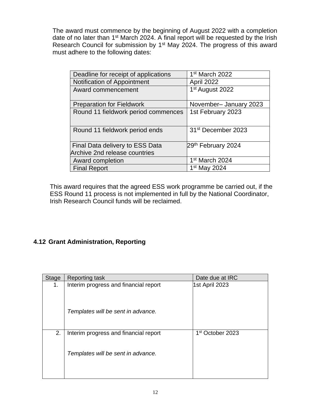The award must commence by the beginning of August 2022 with a completion date of no later than 1<sup>st</sup> March 2024. A final report will be requested by the Irish Research Council for submission by 1<sup>st</sup> May 2024. The progress of this award must adhere to the following dates:

| Deadline for receipt of applications | 1 <sup>st</sup> March 2022     |
|--------------------------------------|--------------------------------|
| Notification of Appointment          | April 2022                     |
| Award commencement                   | 1 <sup>st</sup> August 2022    |
|                                      |                                |
| <b>Preparation for Fieldwork</b>     | November-January 2023          |
| Round 11 fieldwork period commences  | 1st February 2023              |
|                                      |                                |
| Round 11 fieldwork period ends       | 31 <sup>st</sup> December 2023 |
|                                      |                                |
| Final Data delivery to ESS Data      | 29 <sup>th</sup> February 2024 |
| Archive 2nd release countries        |                                |
| Award completion                     | 1 <sup>st</sup> March 2024     |
| <b>Final Report</b>                  | 1 <sup>st</sup> May 2024       |

This award requires that the agreed ESS work programme be carried out, if the ESS Round 11 process is not implemented in full by the National Coordinator, Irish Research Council funds will be reclaimed.

## **4.12 Grant Administration, Reporting**

| <b>Stage</b> | <b>Reporting task</b>                 | Date due at IRC              |
|--------------|---------------------------------------|------------------------------|
| 1.           | Interim progress and financial report | 1st April 2023               |
|              | Templates will be sent in advance.    |                              |
| 2.           | Interim progress and financial report | 1 <sup>st</sup> October 2023 |
|              | Templates will be sent in advance.    |                              |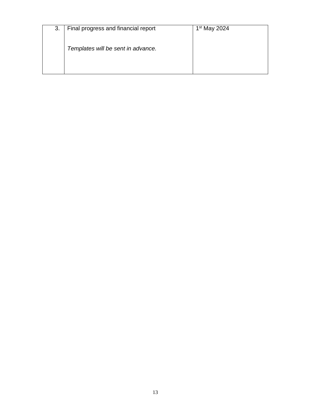| 3. | Final progress and financial report | $1st$ May 2024 |
|----|-------------------------------------|----------------|
|    | Templates will be sent in advance.  |                |
|    |                                     |                |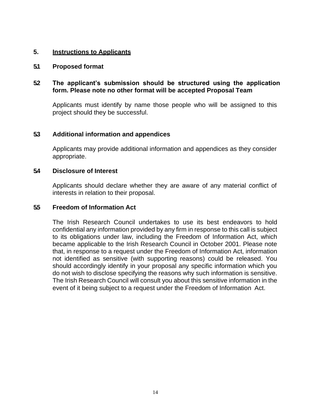## **5. Instructions to Applicants**

#### **5.1 Proposed format**

## **5.2 The applicant's submission should be structured using the application form. Please note no other format will be accepted Proposal Team**

Applicants must identify by name those people who will be assigned to this project should they be successful.

## **5.3 Additional information and appendices**

Applicants may provide additional information and appendices as they consider appropriate.

#### **5.4 Disclosure of Interest**

Applicants should declare whether they are aware of any material conflict of interests in relation to their proposal.

#### **5.5 Freedom of Information Act**

The Irish Research Council undertakes to use its best endeavors to hold confidential any information provided by any firm in response to this call is subject to its obligations under law, including the Freedom of Information Act, which became applicable to the Irish Research Council in October 2001. Please note that, in response to a request under the Freedom of Information Act, information not identified as sensitive (with supporting reasons) could be released. You should accordingly identify in your proposal any specific information which you do not wish to disclose specifying the reasons why such information is sensitive. The Irish Research Council will consult you about this sensitive information in the event of it being subject to a request under the Freedom of Information Act.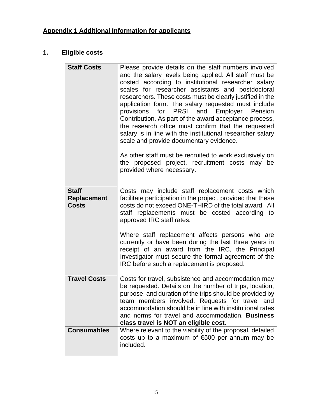# **1. Eligible costs**

| <b>Staff Costs</b>                                 | Please provide details on the staff numbers involved<br>and the salary levels being applied. All staff must be<br>costed according to institutional researcher salary<br>scales for researcher assistants and postdoctoral<br>researchers. These costs must be clearly justified in the<br>application form. The salary requested must include<br>for PRSI and Employer Pension<br>provisions<br>Contribution. As part of the award acceptance process,<br>the research office must confirm that the requested<br>salary is in line with the institutional researcher salary<br>scale and provide documentary evidence.<br>As other staff must be recruited to work exclusively on<br>the proposed project, recruitment costs may be<br>provided where necessary. |
|----------------------------------------------------|-------------------------------------------------------------------------------------------------------------------------------------------------------------------------------------------------------------------------------------------------------------------------------------------------------------------------------------------------------------------------------------------------------------------------------------------------------------------------------------------------------------------------------------------------------------------------------------------------------------------------------------------------------------------------------------------------------------------------------------------------------------------|
| <b>Staff</b><br><b>Replacement</b><br><b>Costs</b> | Costs may include staff replacement costs which<br>facilitate participation in the project, provided that these<br>costs do not exceed ONE-THIRD of the total award. All<br>staff replacements must be costed according to<br>approved IRC staff rates.<br>Where staff replacement affects persons who are<br>currently or have been during the last three years in<br>receipt of an award from the IRC, the Principal<br>Investigator must secure the formal agreement of the<br>IRC before such a replacement is proposed.                                                                                                                                                                                                                                      |
| <b>Travel Costs</b>                                | Costs for travel, subsistence and accommodation may<br>be requested. Details on the number of trips, location,<br>purpose, and duration of the trips should be provided by<br>team members involved. Requests for travel and<br>accommodation should be in line with institutional rates<br>and norms for travel and accommodation. Business<br>class travel is NOT an eligible cost.                                                                                                                                                                                                                                                                                                                                                                             |
| <b>Consumables</b>                                 | Where relevant to the viability of the proposal, detailed<br>costs up to a maximum of €500 per annum may be<br>included.                                                                                                                                                                                                                                                                                                                                                                                                                                                                                                                                                                                                                                          |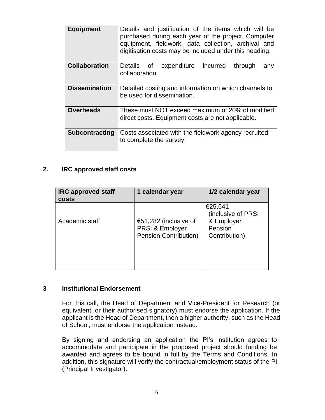| <b>Equipment</b>      | Details and justification of the items which will be<br>purchased during each year of the project. Computer<br>equipment, fieldwork, data collection, archival and<br>digitisation costs may be included under this heading. |  |  |  |
|-----------------------|------------------------------------------------------------------------------------------------------------------------------------------------------------------------------------------------------------------------------|--|--|--|
| <b>Collaboration</b>  | <b>Details</b><br>οf<br>expenditure<br>through<br>incurred<br>any<br>collaboration.                                                                                                                                          |  |  |  |
| <b>Dissemination</b>  | Detailed costing and information on which channels to<br>be used for dissemination.                                                                                                                                          |  |  |  |
| <b>Overheads</b>      | These must NOT exceed maximum of 20% of modified<br>direct costs. Equipment costs are not applicable.                                                                                                                        |  |  |  |
| <b>Subcontracting</b> | Costs associated with the fieldwork agency recruited<br>to complete the survey.                                                                                                                                              |  |  |  |

## **2. IRC approved staff costs**

| <b>IRC approved staff</b><br><b>costs</b> | 1 calendar year                                                                     | 1/2 calendar year                                                       |
|-------------------------------------------|-------------------------------------------------------------------------------------|-------------------------------------------------------------------------|
| Academic staff                            | €51,282 (inclusive of<br><b>PRSI &amp; Employer</b><br><b>Pension Contribution)</b> | €25,641<br>(inclusive of PRSI<br>& Employer<br>Pension<br>Contribution) |

#### **3 Institutional Endorsement**

For this call, the Head of Department and Vice-President for Research (or equivalent, or their authorised signatory) must endorse the application. If the applicant is the Head of Department, then a higher authority, such as the Head of School, must endorse the application instead.

By signing and endorsing an application the PI's institution agrees to accommodate and participate in the proposed project should funding be awarded and agrees to be bound in full by the Terms and Conditions. In addition, this signature will verify the contractual/employment status of the PI (Principal Investigator).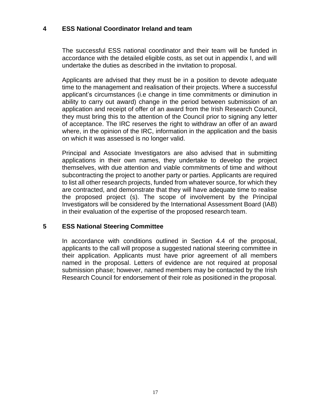## **4 ESS National Coordinator Ireland and team**

The successful ESS national coordinator and their team will be funded in accordance with the detailed eligible costs, as set out in appendix I, and will undertake the duties as described in the invitation to proposal.

Applicants are advised that they must be in a position to devote adequate time to the management and realisation of their projects. Where a successful applicant's circumstances (i.e change in time commitments or diminution in ability to carry out award) change in the period between submission of an application and receipt of offer of an award from the Irish Research Council, they must bring this to the attention of the Council prior to signing any letter of acceptance. The IRC reserves the right to withdraw an offer of an award where, in the opinion of the IRC, information in the application and the basis on which it was assessed is no longer valid.

Principal and Associate Investigators are also advised that in submitting applications in their own names, they undertake to develop the project themselves, with due attention and viable commitments of time and without subcontracting the project to another party or parties. Applicants are required to list all other research projects, funded from whatever source, for which they are contracted, and demonstrate that they will have adequate time to realise the proposed project (s). The scope of involvement by the Principal Investigators will be considered by the International Assessment Board (IAB) in their evaluation of the expertise of the proposed research team.

## **5 ESS National Steering Committee**

In accordance with conditions outlined in Section 4.4 of the proposal, applicants to the call will propose a suggested national steering committee in their application. Applicants must have prior agreement of all members named in the proposal. Letters of evidence are not required at proposal submission phase; however, named members may be contacted by the Irish Research Council for endorsement of their role as positioned in the proposal.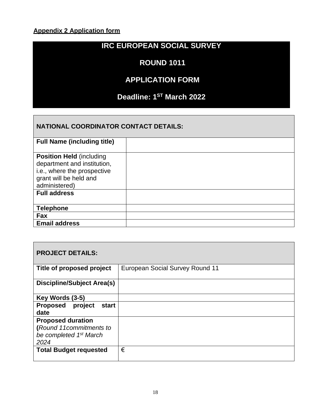## **Appendix 2 Application form**

# **IRC EUROPEAN SOCIAL SURVEY**

## **ROUND 1011**

## **APPLICATION FORM**

## **Deadline: 1 ST March 2022**

## **NATIONAL COORDINATOR CONTACT DETAILS:**

| <b>Full Name (including title)</b>                                                                                                        |  |
|-------------------------------------------------------------------------------------------------------------------------------------------|--|
| <b>Position Held (including)</b><br>department and institution,<br>i.e., where the prospective<br>grant will be held and<br>administered) |  |
| <b>Full address</b>                                                                                                                       |  |
| <b>Telephone</b>                                                                                                                          |  |
| Fax                                                                                                                                       |  |
| <b>Email address</b>                                                                                                                      |  |

## **PROJECT DETAILS:**

| Title of proposed project                  | European Social Survey Round 11 |
|--------------------------------------------|---------------------------------|
| <b>Discipline/Subject Area(s)</b>          |                                 |
|                                            |                                 |
| Key Words (3-5)                            |                                 |
| project<br><b>Proposed</b><br><b>start</b> |                                 |
| date                                       |                                 |
| <b>Proposed duration</b>                   |                                 |
| (Round 11commitments to                    |                                 |
| be completed 1 <sup>st</sup> March         |                                 |
| 2024                                       |                                 |
| <b>Total Budget requested</b>              | €                               |
|                                            |                                 |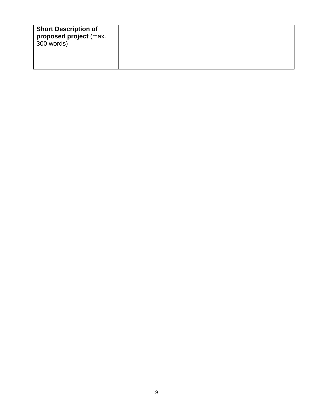|--|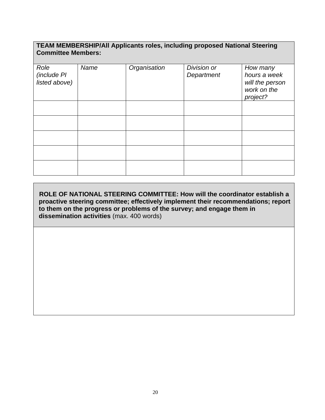## **TEAM MEMBERSHIP/All Applicants roles, including proposed National Steering Committee Members:**

| Role<br>(include PI<br>listed above) | Name | Organisation | Division or<br>Department | How many<br>hours a week<br>will the person<br>work on the<br>project? |
|--------------------------------------|------|--------------|---------------------------|------------------------------------------------------------------------|
|                                      |      |              |                           |                                                                        |
|                                      |      |              |                           |                                                                        |
|                                      |      |              |                           |                                                                        |
|                                      |      |              |                           |                                                                        |
|                                      |      |              |                           |                                                                        |

**ROLE OF NATIONAL STEERING COMMITTEE: How will the coordinator establish a proactive steering committee; effectively implement their recommendations; report to them on the progress or problems of the survey; and engage them in dissemination activities** (max. 400 words)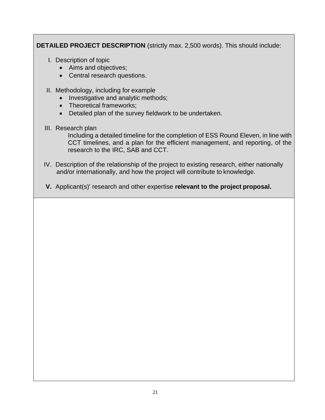**DETAILED PROJECT DESCRIPTION** (strictly max. 2,500 words). This should include:

- I. Description of topic
	- Aims and objectives;
	- Central research questions.
- II. Methodology, including for example
	- Investigative and analytic methods;
	- Theoretical frameworks;
	- Detailed plan of the survey fieldwork to be undertaken.
- III. Research plan

Including a detailed timeline for the completion of ESS Round Eleven, in line with CCT timelines, and a plan for the efficient management, and reporting, of the research to the IRC, SAB and CCT.

- IV. Description of the relationship of the project to existing research, either nationally and/or internationally, and how the project will contribute to knowledge.
- **V.** Applicant(s)' research and other expertise **relevant to the project proposal.**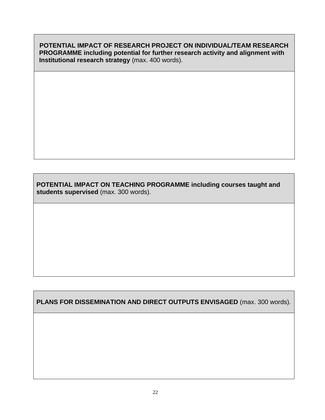**POTENTIAL IMPACT OF RESEARCH PROJECT ON INDIVIDUAL/TEAM RESEARCH PROGRAMME including potential for further research activity and alignment with Institutional research strategy** (max. 400 words).

**POTENTIAL IMPACT ON TEACHING PROGRAMME including courses taught and students supervised** (max. 300 words).

**PLANS FOR DISSEMINATION AND DIRECT OUTPUTS ENVISAGED** (max. 300 words).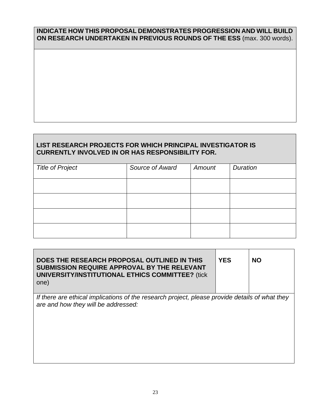## **INDICATE HOW THIS PROPOSAL DEMONSTRATES PROGRESSION AND WILL BUILD ON RESEARCH UNDERTAKEN IN PREVIOUS ROUNDS OF THE ESS** (max. 300 words).

## **LIST RESEARCH PROJECTS FOR WHICH PRINCIPAL INVESTIGATOR IS CURRENTLY INVOLVED IN OR HAS RESPONSIBILITY FOR.**

|                         | Source of Award | Amount | <b>Duration</b> |
|-------------------------|-----------------|--------|-----------------|
| <b>Title of Project</b> |                 |        |                 |
|                         |                 |        |                 |
|                         |                 |        |                 |
|                         |                 |        |                 |
|                         |                 |        |                 |
|                         |                 |        |                 |
|                         |                 |        |                 |
|                         |                 |        |                 |
|                         |                 |        |                 |
|                         |                 |        |                 |

| DOES THE RESEARCH PROPOSAL OUTLINED IN THIS<br>SUBMISSION REQUIRE APPROVAL BY THE RELEVANT<br><b>UNIVERSITY/INSTITUTIONAL ETHICS COMMITTEE?</b> (tick<br>one) | <b>YES</b> | <b>NO</b> |
|---------------------------------------------------------------------------------------------------------------------------------------------------------------|------------|-----------|
| If there are ethical implications of the research project, please provide details of what they<br>are and how they will be addressed:                         |            |           |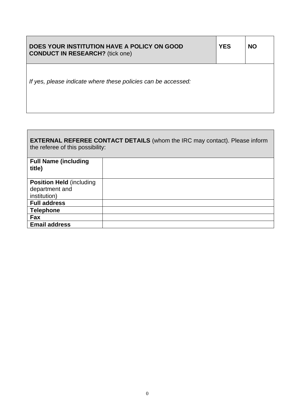| DOES YOUR INSTITUTION HAVE A POLICY ON GOOD<br><b>CONDUCT IN RESEARCH?</b> (tick one) | <b>YES</b> | <b>NO</b> |
|---------------------------------------------------------------------------------------|------------|-----------|
| If yes, please indicate where these policies can be accessed:                         |            |           |
|                                                                                       |            |           |

| <b>EXTERNAL REFEREE CONTACT DETAILS</b> (whom the IRC may contact). Please inform<br>the referee of this possibility: |  |  |  |
|-----------------------------------------------------------------------------------------------------------------------|--|--|--|
| <b>Full Name (including</b><br>title)                                                                                 |  |  |  |
| <b>Position Held (including</b><br>department and<br>institution)                                                     |  |  |  |
| <b>Full address</b>                                                                                                   |  |  |  |
| <b>Telephone</b>                                                                                                      |  |  |  |
| Fax                                                                                                                   |  |  |  |
| <b>Email address</b>                                                                                                  |  |  |  |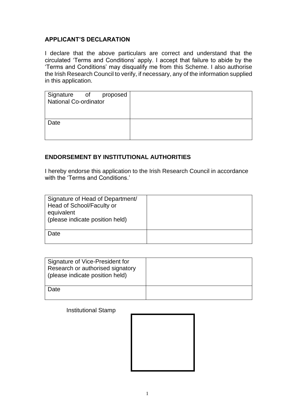## **APPLICANT'S DECLARATION**

I declare that the above particulars are correct and understand that the circulated 'Terms and Conditions' apply. I accept that failure to abide by the 'Terms and Conditions' may disqualify me from this Scheme. I also authorise the Irish Research Council to verify, if necessary, any of the information supplied in this application.

| Signature of proposed<br>National Co-ordinator |  |
|------------------------------------------------|--|
| Date                                           |  |

## **ENDORSEMENT BY INSTITUTIONAL AUTHORITIES**

I hereby endorse this application to the Irish Research Council in accordance with the 'Terms and Conditions.'

| Signature of Head of Department/<br>Head of School/Faculty or<br>equivalent<br>(please indicate position held) |  |
|----------------------------------------------------------------------------------------------------------------|--|
| Date                                                                                                           |  |

| Signature of Vice-President for<br>Research or authorised signatory<br>(please indicate position held) |  |
|--------------------------------------------------------------------------------------------------------|--|
| Date                                                                                                   |  |

Institutional Stamp